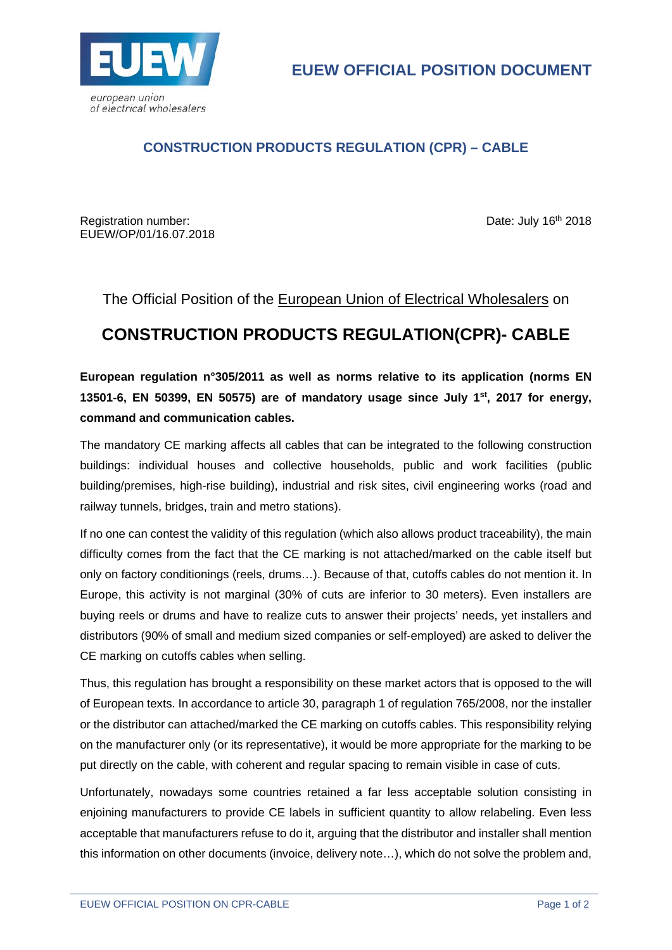

## **CONSTRUCTION PRODUCTS REGULATION (CPR) – CABLE**

Registration number: Date: July 16<sup>th</sup> 2018 EUEW/OP/01/16.07.2018

The Official Position of the European Union of Electrical Wholesalers on

## **CONSTRUCTION PRODUCTS REGULATION(CPR)- CABLE**

**European regulation n°305/2011 as well as norms relative to its application (norms EN 13501-6, EN 50399, EN 50575) are of mandatory usage since July 1st, 2017 for energy, command and communication cables.** 

The mandatory CE marking affects all cables that can be integrated to the following construction buildings: individual houses and collective households, public and work facilities (public building/premises, high-rise building), industrial and risk sites, civil engineering works (road and railway tunnels, bridges, train and metro stations).

If no one can contest the validity of this regulation (which also allows product traceability), the main difficulty comes from the fact that the CE marking is not attached/marked on the cable itself but only on factory conditionings (reels, drums…). Because of that, cutoffs cables do not mention it. In Europe, this activity is not marginal (30% of cuts are inferior to 30 meters). Even installers are buying reels or drums and have to realize cuts to answer their projects' needs, yet installers and distributors (90% of small and medium sized companies or self-employed) are asked to deliver the CE marking on cutoffs cables when selling.

Thus, this regulation has brought a responsibility on these market actors that is opposed to the will of European texts. In accordance to article 30, paragraph 1 of regulation 765/2008, nor the installer or the distributor can attached/marked the CE marking on cutoffs cables. This responsibility relying on the manufacturer only (or its representative), it would be more appropriate for the marking to be put directly on the cable, with coherent and regular spacing to remain visible in case of cuts.

Unfortunately, nowadays some countries retained a far less acceptable solution consisting in enjoining manufacturers to provide CE labels in sufficient quantity to allow relabeling. Even less acceptable that manufacturers refuse to do it, arguing that the distributor and installer shall mention this information on other documents (invoice, delivery note…), which do not solve the problem and,